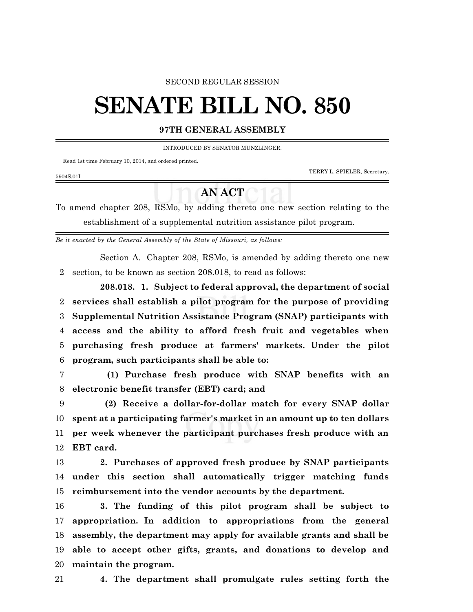## SECOND REGULAR SESSION

## **SENATE BILL NO. 850**

## **97TH GENERAL ASSEMBLY**

INTRODUCED BY SENATOR MUNZLINGER.

Read 1st time February 10, 2014, and ordered printed.

5904S.01I

TERRY L. SPIELER, Secretary.

## **AN ACT**

To amend chapter 208, RSMo, by adding thereto one new section relating to the establishment of a supplemental nutrition assistance pilot program.

*Be it enacted by the General Assembly of the State of Missouri, as follows:*

Section A. Chapter 208, RSMo, is amended by adding thereto one new section, to be known as section 208.018, to read as follows:

**208.018. 1. Subject to federal approval, the department of social services shall establish a pilot program for the purpose of providing Supplemental Nutrition Assistance Program (SNAP) participants with access and the ability to afford fresh fruit and vegetables when purchasing fresh produce at farmers' markets. Under the pilot program, such participants shall be able to:**

 **(1) Purchase fresh produce with SNAP benefits with an electronic benefit transfer (EBT) card; and**

 **(2) Receive a dollar-for-dollar match for every SNAP dollar spent at a participating farmer's market in an amount up to ten dollars per week whenever the participant purchases fresh produce with an EBT card.**

 **2. Purchases of approved fresh produce by SNAP participants under this section shall automatically trigger matching funds reimbursement into the vendor accounts by the department.**

 **3. The funding of this pilot program shall be subject to appropriation. In addition to appropriations from the general assembly, the department may apply for available grants and shall be able to accept other gifts, grants, and donations to develop and maintain the program.**

**4. The department shall promulgate rules setting forth the**